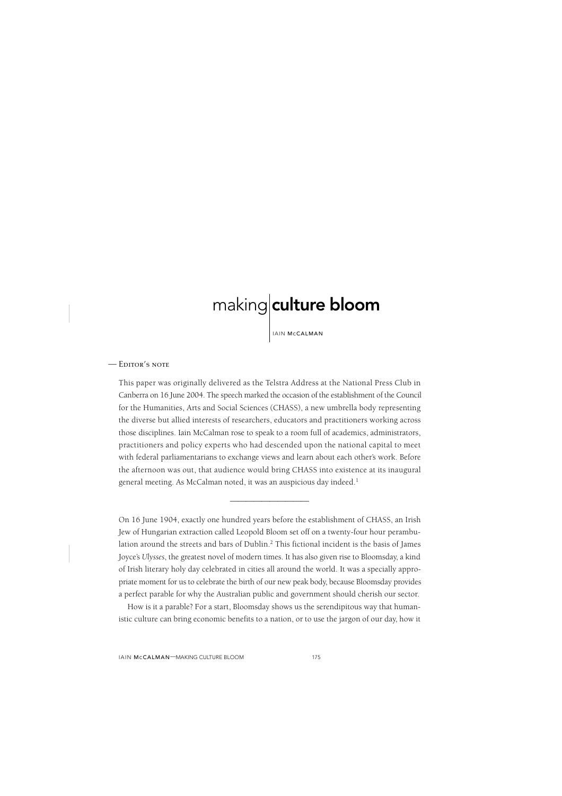## making culture bloom

IAIN MCCALMAN

## — Editor's note

This paper was originally delivered as the Telstra Address at the National Press Club in Canberra on 16 June 2004. The speech marked the occasion of the establishment of the Council for the Humanities, Arts and Social Sciences (CHASS), a new umbrella body representing the diverse but allied interests of researchers, educators and practitioners working across those disciplines. Iain McCalman rose to speak to a room full of academics, administrators, practitioners and policy experts who had descended upon the national capital to meet with federal parliamentarians to exchange views and learn about each other's work. Before the afternoon was out, that audience would bring CHASS into existence at its inaugural general meeting. As McCalman noted, it was an auspicious day indeed.<sup>1</sup>

On 16 June 1904, exactly one hundred years before the establishment of CHASS, an Irish Jew of Hungarian extraction called Leopold Bloom set off on a twenty-four hour perambulation around the streets and bars of Dublin.<sup>2</sup> This fictional incident is the basis of James Joyce's *Ulysses*, the greatest novel of modern times. It has also given rise to Bloomsday, a kind of Irish literary holy day celebrated in cities all around the world. It was a specially appropriate moment for us to celebrate the birth of our new peak body, because Bloomsday provides a perfect parable for why the Australian public and government should cherish our sector.

——————————

How is it a parable? For a start, Bloomsday shows us the serendipitous way that humanistic culture can bring economic benefits to a nation, or to use the jargon of our day, how it

IAIN MC CALMAN—MAKING CULTURE BLOOM 175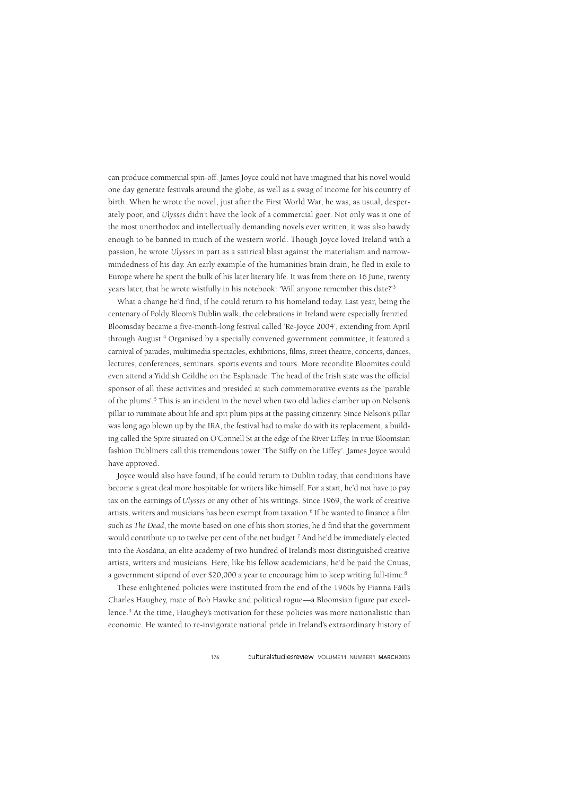can produce commercial spin-off. James Joyce could not have imagined that his novel would one day generate festivals around the globe, as well as a swag of income for his country of birth. When he wrote the novel, just after the First World War, he was, as usual, desperately poor, and *Ulysses* didn't have the look of a commercial goer. Not only was it one of the most unorthodox and intellectually demanding novels ever written, it was also bawdy enough to be banned in much of the western world. Though Joyce loved Ireland with a passion, he wrote *Ulysses* in part as a satirical blast against the materialism and narrowmindedness of his day. An early example of the humanities brain drain, he fled in exile to Europe where he spent the bulk of his later literary life. It was from there on 16 June, twenty years later, that he wrote wistfully in his notebook: 'Will anyone remember this date?'3

What a change he'd find, if he could return to his homeland today. Last year, being the centenary of Poldy Bloom's Dublin walk, the celebrations in Ireland were especially frenzied. Bloomsday became a five-month-long festival called 'Re-Joyce 2004', extending from April through August.4 Organised by a specially convened government committee, it featured a carnival of parades, multimedia spectacles, exhibitions, films, street theatre, concerts, dances, lectures, conferences, seminars, sports events and tours. More recondite Bloomites could even attend a Yiddish Ceildhe on the Esplanade. The head of the Irish state was the official sponsor of all these activities and presided at such commemorative events as the 'parable of the plums'.5 This is an incident in the novel when two old ladies clamber up on Nelson's pillar to ruminate about life and spit plum pips at the passing citizenry. Since Nelson's pillar was long ago blown up by the IRA, the festival had to make do with its replacement, a building called the Spire situated on O'Connell St at the edge of the River Liffey. In true Bloomsian fashion Dubliners call this tremendous tower 'The Stiffy on the Liffey'. James Joyce would have approved.

Joyce would also have found, if he could return to Dublin today, that conditions have become a great deal more hospitable for writers like himself. For a start, he'd not have to pay tax on the earnings of *Ulysses* or any other of his writings. Since 1969, the work of creative artists, writers and musicians has been exempt from taxation.<sup>6</sup> If he wanted to finance a film such as *The Dead*, the movie based on one of his short stories, he'd find that the government would contribute up to twelve per cent of the net budget.7 And he'd be immediately elected into the Aosdána, an elite academy of two hundred of Ireland's most distinguished creative artists, writers and musicians. Here, like his fellow academicians, he'd be paid the Cnuas, a government stipend of over \$20,000 a year to encourage him to keep writing full-time.<sup>8</sup>

These enlightened policies were instituted from the end of the 1960s by Fianna Fáil's Charles Haughey, mate of Bob Hawke and political rogue—a Bloomsian figure par excellence.<sup>9</sup> At the time, Haughey's motivation for these policies was more nationalistic than economic. He wanted to re-invigorate national pride in Ireland's extraordinary history of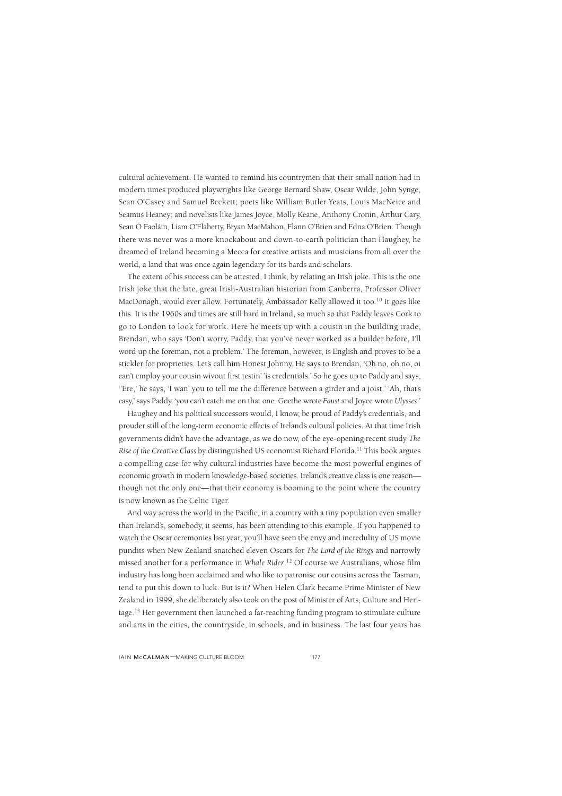cultural achievement. He wanted to remind his countrymen that their small nation had in modern times produced playwrights like George Bernard Shaw, Oscar Wilde, John Synge, Sean O'Casey and Samuel Beckett; poets like William Butler Yeats, Louis MacNeice and Seamus Heaney; and novelists like James Joyce, Molly Keane, Anthony Cronin, Arthur Cary, Sean Ó Faoláin, Liam O'Flaherty, Bryan MacMahon, Flann O'Brien and Edna O'Brien. Though there was never was a more knockabout and down-to-earth politician than Haughey, he dreamed of Ireland becoming a Mecca for creative artists and musicians from all over the world, a land that was once again legendary for its bards and scholars.

The extent of his success can be attested, I think, by relating an Irish joke. This is the one Irish joke that the late, great Irish-Australian historian from Canberra, Professor Oliver MacDonagh, would ever allow. Fortunately, Ambassador Kelly allowed it too.<sup>10</sup> It goes like this. It is the 1960s and times are still hard in Ireland, so much so that Paddy leaves Cork to go to London to look for work. Here he meets up with a cousin in the building trade, Brendan, who says 'Don't worry, Paddy, that you've never worked as a builder before, I'll word up the foreman, not a problem.' The foreman, however, is English and proves to be a stickler for proprieties. Let's call him Honest Johnny. He says to Brendan, 'Oh no, oh no, oi can't employ your cousin wivout first testin' 'is credentials.' So he goes up to Paddy and says, "Ere,' he says, 'I wan' you to tell me the difference between a girder and a joist.' 'Ah, that's easy,' says Paddy, 'you can't catch me on that one. Goethe wrote *Faust* and Joyce wrote *Ulysses*.'

Haughey and his political successors would, I know, be proud of Paddy's credentials, and prouder still of the long-term economic effects of Ireland's cultural policies. At that time Irish governments didn't have the advantage, as we do now, of the eye-opening recent study *The Rise of the Creative Class* by distinguished US economist Richard Florida.11 This book argues a compelling case for why cultural industries have become the most powerful engines of economic growth in modern knowledge-based societies. Ireland's creative class is one reason though not the only one—that their economy is booming to the point where the country is now known as the Celtic Tiger.

And way across the world in the Pacific, in a country with a tiny population even smaller than Ireland's, somebody, it seems, has been attending to this example. If you happened to watch the Oscar ceremonies last year, you'll have seen the envy and incredulity of US movie pundits when New Zealand snatched eleven Oscars for *The Lord of the Rings* and narrowly missed another for a performance in *Whale Rider*. <sup>12</sup> Of course we Australians, whose film industry has long been acclaimed and who like to patronise our cousins across the Tasman, tend to put this down to luck. But is it? When Helen Clark became Prime Minister of New Zealand in 1999, she deliberately also took on the post of Minister of Arts, Culture and Heritage.<sup>13</sup> Her government then launched a far-reaching funding program to stimulate culture and arts in the cities, the countryside, in schools, and in business. The last four years has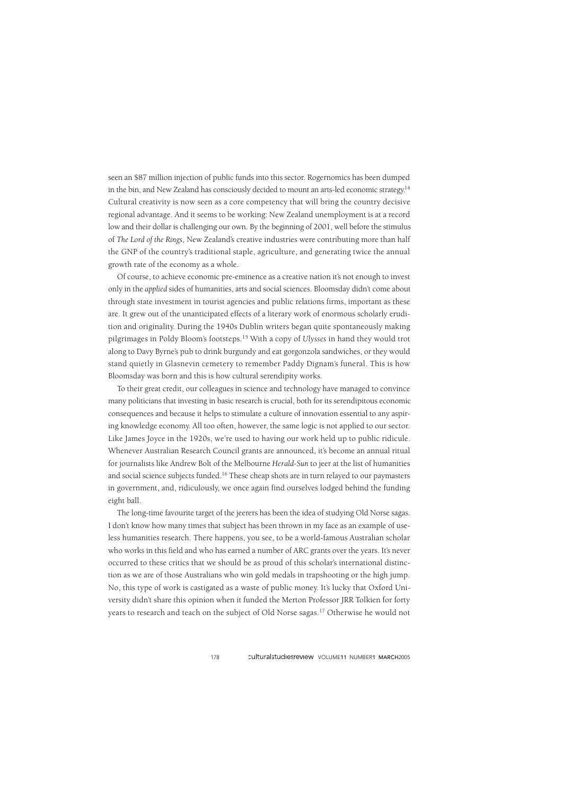seen an \$87 million injection of public funds into this sector. Rogernomics has been dumped in the bin, and New Zealand has consciously decided to mount an arts-led economic strategy.<sup>14</sup> Cultural creativity is now seen as a core competency that will bring the country decisive regional advantage. And it seems to be working: New Zealand unemployment is at a record low and their dollar is challenging our own. By the beginning of 2001, well before the stimulus of *The Lord of the Rings*, New Zealand's creative industries were contributing more than half the GNP of the country's traditional staple, agriculture, and generating twice the annual growth rate of the economy as a whole.

Of course, to achieve economic pre-eminence as a creative nation it's not enough to invest only in the *applied* sides of humanities, arts and social sciences. Bloomsday didn't come about through state investment in tourist agencies and public relations firms, important as these are. It grew out of the unanticipated effects of a literary work of enormous scholarly erudition and originality. During the 1940s Dublin writers began quite spontaneously making pilgrimages in Poldy Bloom's footsteps.15 With a copy of *Ulysses* in hand they would trot along to Davy Byrne's pub to drink burgundy and eat gorgonzola sandwiches, or they would stand quietly in Glasnevin cemetery to remember Paddy Dignam's funeral. This is how Bloomsday was born and this is how cultural serendipity works.

To their great credit, our colleagues in science and technology have managed to convince many politicians that investing in basic research is crucial, both for its serendipitous economic consequences and because it helps to stimulate a culture of innovation essential to any aspiring knowledge economy. All too often, however, the same logic is not applied to our sector. Like James Joyce in the 1920s, we're used to having our work held up to public ridicule. Whenever Australian Research Council grants are announced, it's become an annual ritual for journalists like Andrew Bolt of the Melbourne *Herald-Sun* to jeer at the list of humanities and social science subjects funded.<sup>16</sup> These cheap shots are in turn relayed to our paymasters in government, and, ridiculously, we once again find ourselves lodged behind the funding eight ball.

The long-time favourite target of the jeerers has been the idea of studying Old Norse sagas. I don't know how many times that subject has been thrown in my face as an example of useless humanities research. There happens, you see, to be a world-famous Australian scholar who works in this field and who has earned a number of ARC grants over the years. It's never occurred to these critics that we should be as proud of this scholar's international distinction as we are of those Australians who win gold medals in trapshooting or the high jump. No, this type of work is castigated as a waste of public money. It's lucky that Oxford University didn't share this opinion when it funded the Merton Professor JRR Tolkien for forty years to research and teach on the subject of Old Norse sagas.17 Otherwise he would not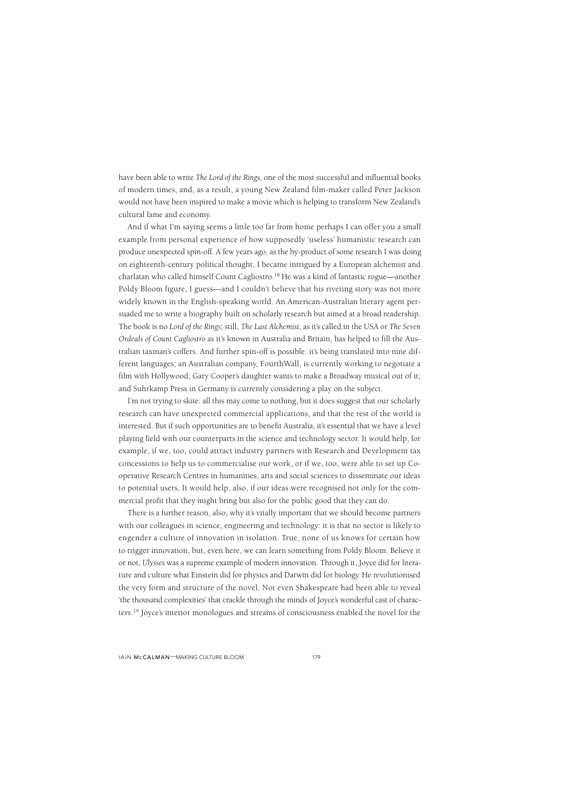have been able to write *The Lord of the Rings*, one of the most successful and influential books of modern times, and, as a result, a young New Zealand film-maker called Peter Jackson would not have been inspired to make a movie which is helping to transform New Zealand's cultural fame and economy.

And if what I'm saying seems a little too far from home perhaps I can offer you a small example from personal experience of how supposedly 'useless' humanistic research can produce unexpected spin-off. A few years ago, as the by-product of some research I was doing on eighteenth-century political thought, I became intrigued by a European alchemist and charlatan who called himself Count Cagliostro.18 He was a kind of fantastic rogue—another Poldy Bloom figure, I guess—and I couldn't believe that his riveting story was not more widely known in the English-speaking world. An American-Australian literary agent persuaded me to write a biography built on scholarly research but aimed at a broad readership. The book is no *Lord of the Rings*; still, *The Last Alchemist*, as it's called in the USA or *The Seven Ordeals of Count Cagliostro* as it's known in Australia and Britain, has helped to fill the Australian taxman's coffers. And further spin-off is possible: it's being translated into nine different languages; an Australian company, FourthWall, is currently working to negotiate a film with Hollywood; Gary Cooper's daughter wants to make a Broadway musical out of it; and Suhrkamp Press in Germany is currently considering a play on the subject.

I'm not trying to skite: all this may come to nothing, but it does suggest that our scholarly research can have unexpected commercial applications, and that the rest of the world is interested. But if such opportunities are to benefit Australia, it's essential that we have a level playing field with our counterparts in the science and technology sector. It would help, for example, if we, too, could attract industry partners with Research and Development tax concessions to help us to commercialise our work, or if we, too, were able to set up Cooperative Research Centres in humanities, arts and social sciences to disseminate our ideas to potential users. It would help, also, if our ideas were recognised not only for the commercial profit that they might bring but also for the public good that they can do.

There is a further reason, also, why it's vitally important that we should become partners with our colleagues in science, engineering and technology: it is that no sector is likely to engender a culture of innovation in isolation. True, none of us knows for certain how to trigger innovation, but, even here, we can learn something from Poldy Bloom. Believe it or not, *Ulysses* was a supreme example of modern innovation. Through it, Joyce did for literature and culture what Einstein did for physics and Darwin did for biology. He revolutionised the very form and structure of the novel. Not even Shakespeare had been able to reveal 'the thousand complexities' that crackle through the minds of Joyce's wonderful cast of characters.19 Joyce's interior monologues and streams of consciousness enabled the novel for the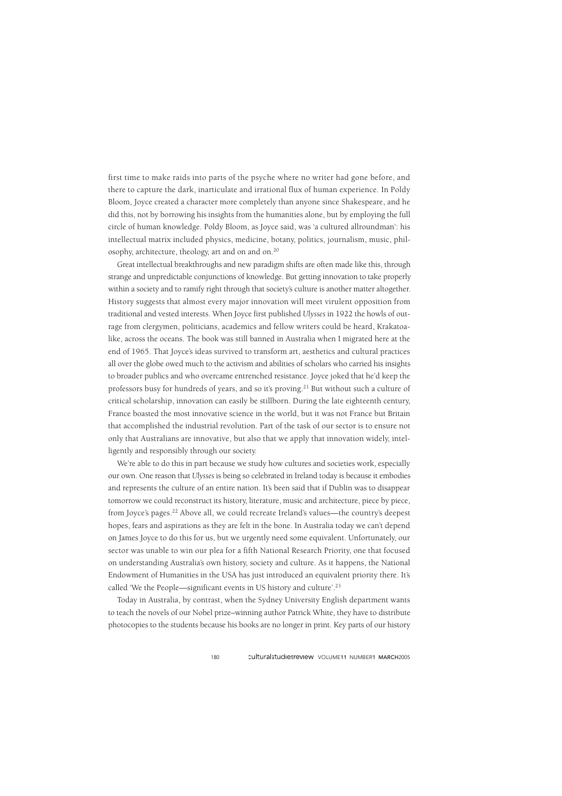first time to make raids into parts of the psyche where no writer had gone before, and there to capture the dark, inarticulate and irrational flux of human experience. In Poldy Bloom, Joyce created a character more completely than anyone since Shakespeare, and he did this, not by borrowing his insights from the humanities alone, but by employing the full circle of human knowledge. Poldy Bloom, as Joyce said, was 'a cultured allroundman': his intellectual matrix included physics, medicine, botany, politics, journalism, music, philosophy, architecture, theology, art and on and on.20

Great intellectual breakthroughs and new paradigm shifts are often made like this, through strange and unpredictable conjunctions of knowledge. But getting innovation to take properly within a society and to ramify right through that society's culture is another matter altogether. History suggests that almost every major innovation will meet virulent opposition from traditional and vested interests. When Joyce first published *Ulysses* in 1922 the howls of outrage from clergymen, politicians, academics and fellow writers could be heard, Krakatoalike, across the oceans. The book was still banned in Australia when I migrated here at the end of 1965. That Joyce's ideas survived to transform art, aesthetics and cultural practices all over the globe owed much to the activism and abilities of scholars who carried his insights to broader publics and who overcame entrenched resistance. Joyce joked that he'd keep the professors busy for hundreds of years, and so it's proving.<sup>21</sup> But without such a culture of critical scholarship, innovation can easily be stillborn. During the late eighteenth century, France boasted the most innovative science in the world, but it was not France but Britain that accomplished the industrial revolution. Part of the task of our sector is to ensure not only that Australians are innovative, but also that we apply that innovation widely, intelligently and responsibly through our society.

We're able to do this in part because we study how cultures and societies work, especially our own. One reason that *Ulysses* is being so celebrated in Ireland today is because it embodies and represents the culture of an entire nation. It's been said that if Dublin was to disappear tomorrow we could reconstruct its history, literature, music and architecture, piece by piece, from Joyce's pages.<sup>22</sup> Above all, we could recreate Ireland's values—the country's deepest hopes, fears and aspirations as they are felt in the bone. In Australia today we can't depend on James Joyce to do this for us, but we urgently need some equivalent. Unfortunately, our sector was unable to win our plea for a fifth National Research Priority, one that focused on understanding Australia's own history, society and culture. As it happens, the National Endowment of Humanities in the USA has just introduced an equivalent priority there. It's called 'We the People—significant events in US history and culture'.<sup>23</sup>

Today in Australia, by contrast, when the Sydney University English department wants to teach the novels of our Nobel prize–winning author Patrick White, they have to distribute photocopies to the students because his books are no longer in print. Key parts of our history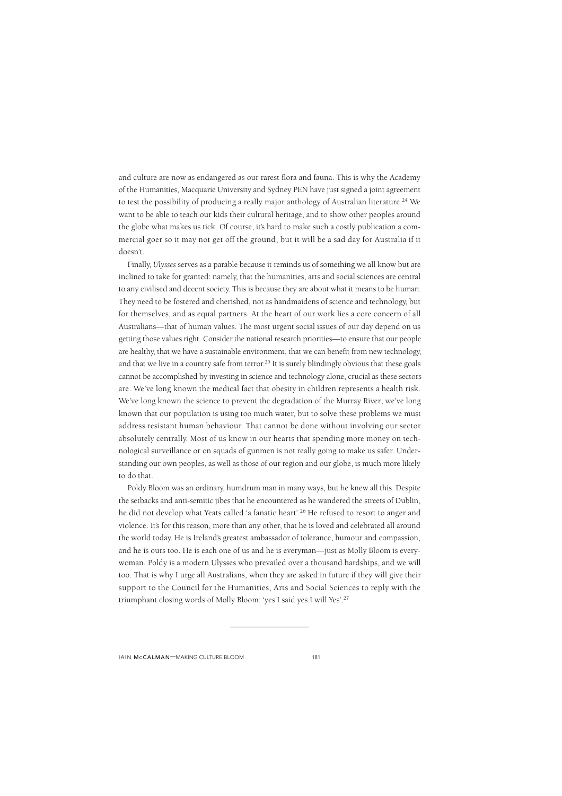and culture are now as endangered as our rarest flora and fauna. This is why the Academy of the Humanities, Macquarie University and Sydney PEN have just signed a joint agreement to test the possibility of producing a really major anthology of Australian literature.<sup>24</sup> We want to be able to teach our kids their cultural heritage, and to show other peoples around the globe what makes us tick. Of course, it's hard to make such a costly publication a commercial goer so it may not get off the ground, but it will be a sad day for Australia if it doesn't.

Finally, *Ulysses* serves as a parable because it reminds us of something we all know but are inclined to take for granted: namely, that the humanities, arts and social sciences are central to any civilised and decent society. This is because they are about what it means to be human. They need to be fostered and cherished, not as handmaidens of science and technology, but for themselves, and as equal partners. At the heart of our work lies a core concern of all Australians—that of human values. The most urgent social issues of our day depend on us getting those values right. Consider the national research priorities—to ensure that our people are healthy, that we have a sustainable environment, that we can benefit from new technology, and that we live in a country safe from terror.<sup>25</sup> It is surely blindingly obvious that these goals cannot be accomplished by investing in science and technology alone, crucial as these sectors are. We've long known the medical fact that obesity in children represents a health risk. We've long known the science to prevent the degradation of the Murray River; we've long known that our population is using too much water, but to solve these problems we must address resistant human behaviour. That cannot be done without involving our sector absolutely centrally. Most of us know in our hearts that spending more money on technological surveillance or on squads of gunmen is not really going to make us safer. Understanding our own peoples, as well as those of our region and our globe, is much more likely to do that.

Poldy Bloom was an ordinary, humdrum man in many ways, but he knew all this. Despite the setbacks and anti-semitic jibes that he encountered as he wandered the streets of Dublin, he did not develop what Yeats called 'a fanatic heart'.26 He refused to resort to anger and violence. It's for this reason, more than any other, that he is loved and celebrated all around the world today. He is Ireland's greatest ambassador of tolerance, humour and compassion, and he is ours too. He is each one of us and he is everyman—just as Molly Bloom is everywoman. Poldy is a modern Ulysses who prevailed over a thousand hardships, and we will too. That is why I urge all Australians, when they are asked in future if they will give their support to the Council for the Humanities, Arts and Social Sciences to reply with the triumphant closing words of Molly Bloom: 'yes I said yes I will Yes'.27

——————————

**IAIN MCCALMAN—MAKING CULTURE BLOOM** 181